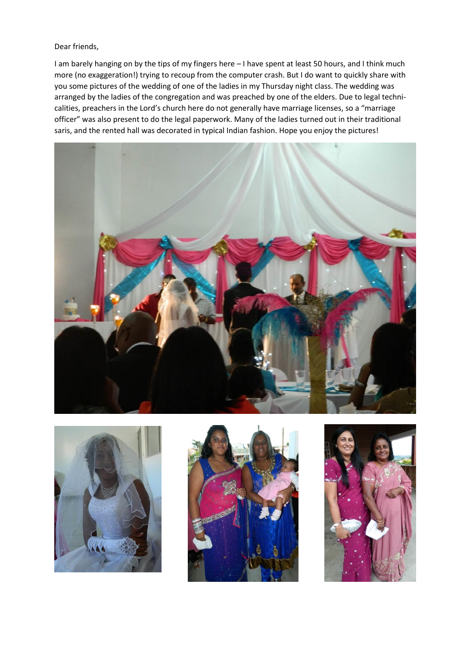Dear friends,

I am barely hanging on by the tips of my fingers here – I have spent at least 50 hours, and I think much more (no exaggeration!) trying to recoup from the computer crash. But I do want to quickly share with you some pictures of the wedding of one of the ladies in my Thursday night class. The wedding was arranged by the ladies of the congregation and was preached by one of the elders. Due to legal technicalities, preachers in the Lord's church here do not generally have marriage licenses, so a "marriage officer" was also present to do the legal paperwork. Many of the ladies turned out in their traditional saris, and the rented hall was decorated in typical Indian fashion. Hope you enjoy the pictures!